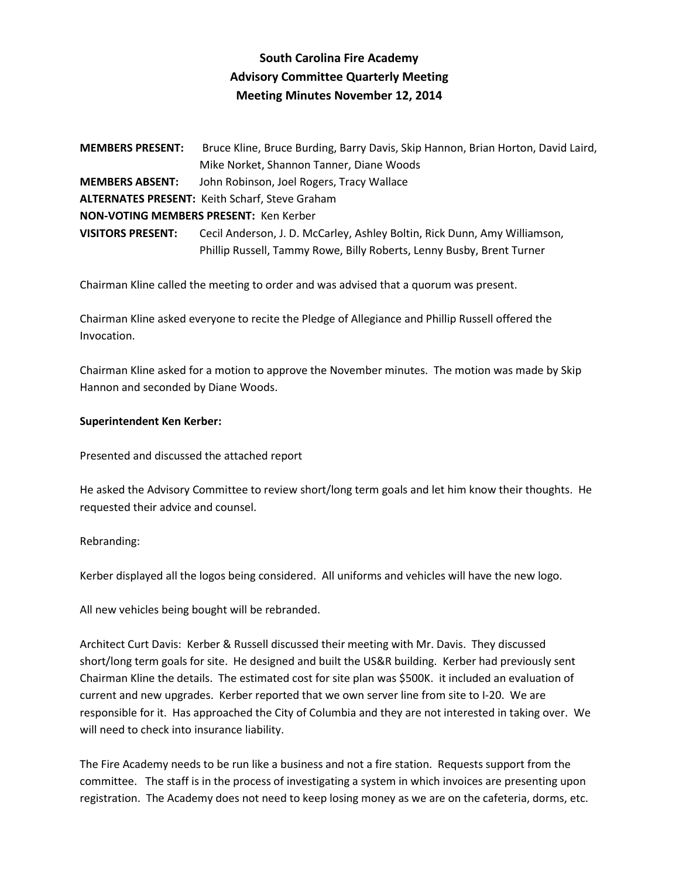# **South Carolina Fire Academy Advisory Committee Quarterly Meeting Meeting Minutes November 12, 2014**

**MEMBERS PRESENT:** Bruce Kline, Bruce Burding, Barry Davis, Skip Hannon, Brian Horton, David Laird, Mike Norket, Shannon Tanner, Diane Woods **MEMBERS ABSENT:** John Robinson, Joel Rogers, Tracy Wallace **ALTERNATES PRESENT:** Keith Scharf, Steve Graham **NON-VOTING MEMBERS PRESENT:** Ken Kerber **VISITORS PRESENT:** Cecil Anderson, J. D. McCarley, Ashley Boltin, Rick Dunn, Amy Williamson, Phillip Russell, Tammy Rowe, Billy Roberts, Lenny Busby, Brent Turner

Chairman Kline called the meeting to order and was advised that a quorum was present.

Chairman Kline asked everyone to recite the Pledge of Allegiance and Phillip Russell offered the Invocation.

Chairman Kline asked for a motion to approve the November minutes. The motion was made by Skip Hannon and seconded by Diane Woods.

# **Superintendent Ken Kerber:**

Presented and discussed the attached report

He asked the Advisory Committee to review short/long term goals and let him know their thoughts. He requested their advice and counsel.

Rebranding:

Kerber displayed all the logos being considered. All uniforms and vehicles will have the new logo.

All new vehicles being bought will be rebranded.

Architect Curt Davis: Kerber & Russell discussed their meeting with Mr. Davis. They discussed short/long term goals for site. He designed and built the US&R building. Kerber had previously sent Chairman Kline the details. The estimated cost for site plan was \$500K. it included an evaluation of current and new upgrades. Kerber reported that we own server line from site to I-20. We are responsible for it. Has approached the City of Columbia and they are not interested in taking over. We will need to check into insurance liability.

The Fire Academy needs to be run like a business and not a fire station. Requests support from the committee. The staff is in the process of investigating a system in which invoices are presenting upon registration. The Academy does not need to keep losing money as we are on the cafeteria, dorms, etc.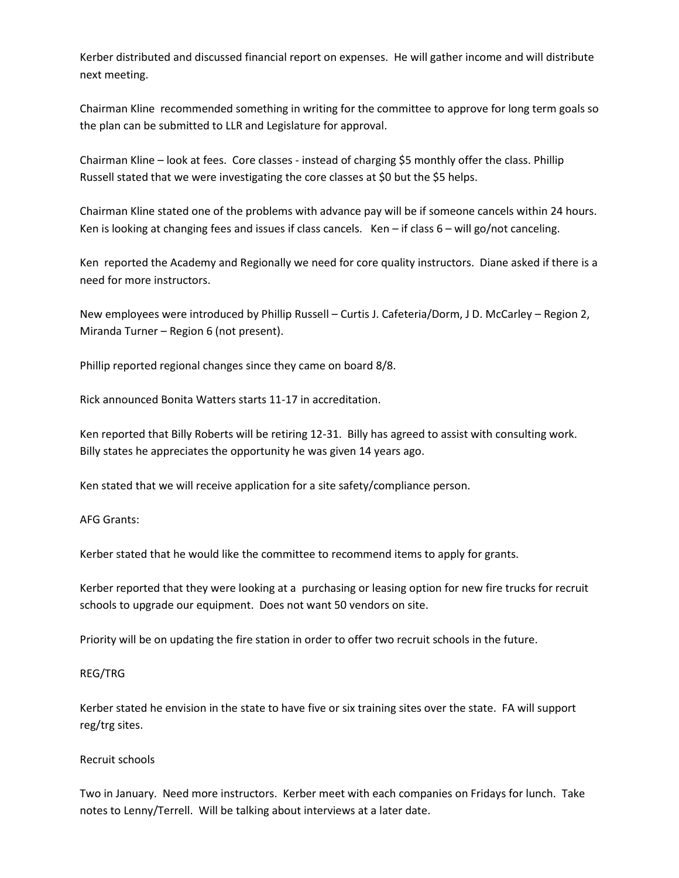Kerber distributed and discussed financial report on expenses. He will gather income and will distribute next meeting.

Chairman Kline recommended something in writing for the committee to approve for long term goals so the plan can be submitted to LLR and Legislature for approval.

Chairman Kline – look at fees. Core classes - instead of charging \$5 monthly offer the class. Phillip Russell stated that we were investigating the core classes at \$0 but the \$5 helps.

Chairman Kline stated one of the problems with advance pay will be if someone cancels within 24 hours. Ken is looking at changing fees and issues if class cancels. Ken – if class  $6 -$  will go/not canceling.

Ken reported the Academy and Regionally we need for core quality instructors. Diane asked if there is a need for more instructors.

New employees were introduced by Phillip Russell – Curtis J. Cafeteria/Dorm, J D. McCarley – Region 2, Miranda Turner – Region 6 (not present).

Phillip reported regional changes since they came on board 8/8.

Rick announced Bonita Watters starts 11-17 in accreditation.

Ken reported that Billy Roberts will be retiring 12-31. Billy has agreed to assist with consulting work. Billy states he appreciates the opportunity he was given 14 years ago.

Ken stated that we will receive application for a site safety/compliance person.

AFG Grants:

Kerber stated that he would like the committee to recommend items to apply for grants.

Kerber reported that they were looking at a purchasing or leasing option for new fire trucks for recruit schools to upgrade our equipment. Does not want 50 vendors on site.

Priority will be on updating the fire station in order to offer two recruit schools in the future.

# REG/TRG

Kerber stated he envision in the state to have five or six training sites over the state. FA will support reg/trg sites.

# Recruit schools

Two in January. Need more instructors. Kerber meet with each companies on Fridays for lunch. Take notes to Lenny/Terrell. Will be talking about interviews at a later date.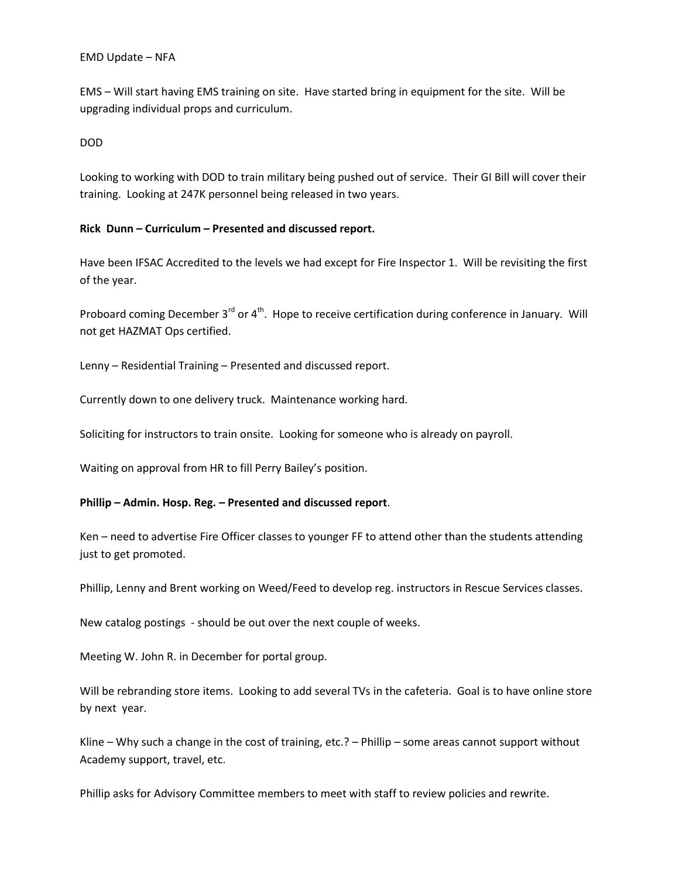#### EMD Update – NFA

EMS – Will start having EMS training on site. Have started bring in equipment for the site. Will be upgrading individual props and curriculum.

# DOD

Looking to working with DOD to train military being pushed out of service. Their GI Bill will cover their training. Looking at 247K personnel being released in two years.

# **Rick Dunn – Curriculum – Presented and discussed report.**

Have been IFSAC Accredited to the levels we had except for Fire Inspector 1. Will be revisiting the first of the year.

Proboard coming December 3<sup>rd</sup> or 4<sup>th</sup>. Hope to receive certification during conference in January. Will not get HAZMAT Ops certified.

Lenny – Residential Training – Presented and discussed report.

Currently down to one delivery truck. Maintenance working hard.

Soliciting for instructors to train onsite. Looking for someone who is already on payroll.

Waiting on approval from HR to fill Perry Bailey's position.

# **Phillip – Admin. Hosp. Reg. – Presented and discussed report**.

Ken – need to advertise Fire Officer classes to younger FF to attend other than the students attending just to get promoted.

Phillip, Lenny and Brent working on Weed/Feed to develop reg. instructors in Rescue Services classes.

New catalog postings - should be out over the next couple of weeks.

Meeting W. John R. in December for portal group.

Will be rebranding store items. Looking to add several TVs in the cafeteria. Goal is to have online store by next year.

Kline – Why such a change in the cost of training, etc.? – Phillip – some areas cannot support without Academy support, travel, etc.

Phillip asks for Advisory Committee members to meet with staff to review policies and rewrite.